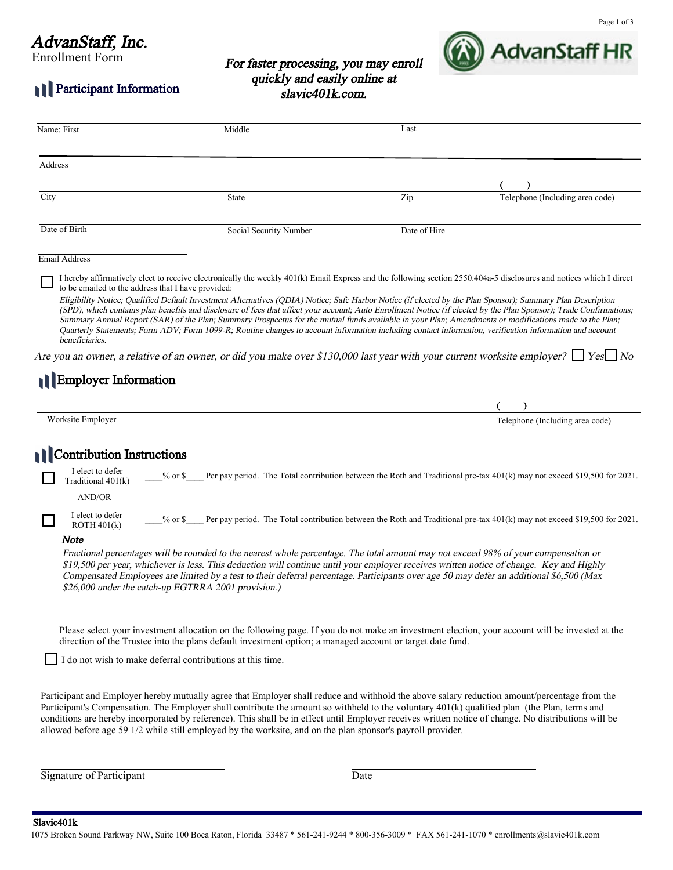# AdvanStaff, Inc.

Participant Information

Enrollment Form

For faster processing, you may enroll quickly and easily online at slavic401k.com.



| Name: First                                                          | Middle                                                                                                                                                                                                                                                                                                                                                                                                                                                                                                                                                                                                                                                                                                                                                                                                                                                                                                                                                                       | Last         |                                                                                                                          |
|----------------------------------------------------------------------|------------------------------------------------------------------------------------------------------------------------------------------------------------------------------------------------------------------------------------------------------------------------------------------------------------------------------------------------------------------------------------------------------------------------------------------------------------------------------------------------------------------------------------------------------------------------------------------------------------------------------------------------------------------------------------------------------------------------------------------------------------------------------------------------------------------------------------------------------------------------------------------------------------------------------------------------------------------------------|--------------|--------------------------------------------------------------------------------------------------------------------------|
| Address                                                              |                                                                                                                                                                                                                                                                                                                                                                                                                                                                                                                                                                                                                                                                                                                                                                                                                                                                                                                                                                              |              |                                                                                                                          |
|                                                                      |                                                                                                                                                                                                                                                                                                                                                                                                                                                                                                                                                                                                                                                                                                                                                                                                                                                                                                                                                                              |              |                                                                                                                          |
| City                                                                 | <b>State</b>                                                                                                                                                                                                                                                                                                                                                                                                                                                                                                                                                                                                                                                                                                                                                                                                                                                                                                                                                                 | Zip          | Telephone (Including area code)                                                                                          |
| Date of Birth                                                        | Social Security Number                                                                                                                                                                                                                                                                                                                                                                                                                                                                                                                                                                                                                                                                                                                                                                                                                                                                                                                                                       | Date of Hire |                                                                                                                          |
| Email Address                                                        |                                                                                                                                                                                                                                                                                                                                                                                                                                                                                                                                                                                                                                                                                                                                                                                                                                                                                                                                                                              |              |                                                                                                                          |
| to be emailed to the address that I have provided:<br>beneficiaries. | I hereby affirmatively elect to receive electronically the weekly 401(k) Email Express and the following section 2550.404a-5 disclosures and notices which I direct<br>Eligibility Notice; Qualified Default Investment Alternatives (QDIA) Notice; Safe Harbor Notice (if elected by the Plan Sponsor); Summary Plan Description<br>(SPD), which contains plan benefits and disclosure of fees that affect your account; Auto Enrollment Notice (if elected by the Plan Sponsor); Trade Confirmations;<br>Summary Annual Report (SAR) of the Plan; Summary Prospectus for the mutual funds available in your Plan; Amendments or modifications made to the Plan;<br>Quarterly Statements; Form ADV; Form 1099-R; Routine changes to account information including contact information, verification information and account<br>Are you an owner, a relative of an owner, or did you make over \$130,000 last year with your current worksite employer? $\Box$ Yes $\Box$ No |              |                                                                                                                          |
| <b>Employer Information</b>                                          |                                                                                                                                                                                                                                                                                                                                                                                                                                                                                                                                                                                                                                                                                                                                                                                                                                                                                                                                                                              |              |                                                                                                                          |
|                                                                      |                                                                                                                                                                                                                                                                                                                                                                                                                                                                                                                                                                                                                                                                                                                                                                                                                                                                                                                                                                              |              |                                                                                                                          |
| Worksite Employer                                                    |                                                                                                                                                                                                                                                                                                                                                                                                                                                                                                                                                                                                                                                                                                                                                                                                                                                                                                                                                                              |              | Telephone (Including area code)                                                                                          |
| Contribution Instructions                                            |                                                                                                                                                                                                                                                                                                                                                                                                                                                                                                                                                                                                                                                                                                                                                                                                                                                                                                                                                                              |              |                                                                                                                          |
| I elect to defer<br>Traditional 401(k)                               | $%$ or $\$$                                                                                                                                                                                                                                                                                                                                                                                                                                                                                                                                                                                                                                                                                                                                                                                                                                                                                                                                                                  |              | Per pay period. The Total contribution between the Roth and Traditional pre-tax 401(k) may not exceed \$19,500 for 2021. |
| <b>AND/OR</b>                                                        |                                                                                                                                                                                                                                                                                                                                                                                                                                                                                                                                                                                                                                                                                                                                                                                                                                                                                                                                                                              |              |                                                                                                                          |
| I elect to defer<br>ROTH 401(k)                                      | $%$ or \$                                                                                                                                                                                                                                                                                                                                                                                                                                                                                                                                                                                                                                                                                                                                                                                                                                                                                                                                                                    |              | Per pay period. The Total contribution between the Roth and Traditional pre-tax 401(k) may not exceed \$19,500 for 2021. |
| Note                                                                 | Fractional percentages will be rounded to the nearest whole percentage. The total amount may not exceed 98% of your compensation or<br>\$19,500 per year, whichever is less. This deduction will continue until your employer receives written notice of change. Key and Highly<br>Compensated Employees are limited by a test to their deferral percentage. Participants over age 50 may defer an additional \$6,500 (Max<br>\$26,000 under the catch-up EGTRRA 2001 provision.)                                                                                                                                                                                                                                                                                                                                                                                                                                                                                            |              |                                                                                                                          |
|                                                                      | Please select your investment allocation on the following page. If you do not make an investment election, your account will be invested at the<br>direction of the Trustee into the plans default investment option; a managed account or target date fund.<br>I do not wish to make deferral contributions at this time.                                                                                                                                                                                                                                                                                                                                                                                                                                                                                                                                                                                                                                                   |              |                                                                                                                          |
|                                                                      | Participant and Employer hereby mutually agree that Employer shall reduce and withhold the above salary reduction amount/percentage from the<br>Participant's Compensation. The Employer shall contribute the amount so withheld to the voluntary 401(k) qualified plan (the Plan, terms and<br>conditions are hereby incorporated by reference). This shall be in effect until Employer receives written notice of change. No distributions will be<br>allowed before age 59 1/2 while still employed by the worksite, and on the plan sponsor's payroll provider.                                                                                                                                                                                                                                                                                                                                                                                                          |              |                                                                                                                          |

Signature of Participant Date

Slavic401k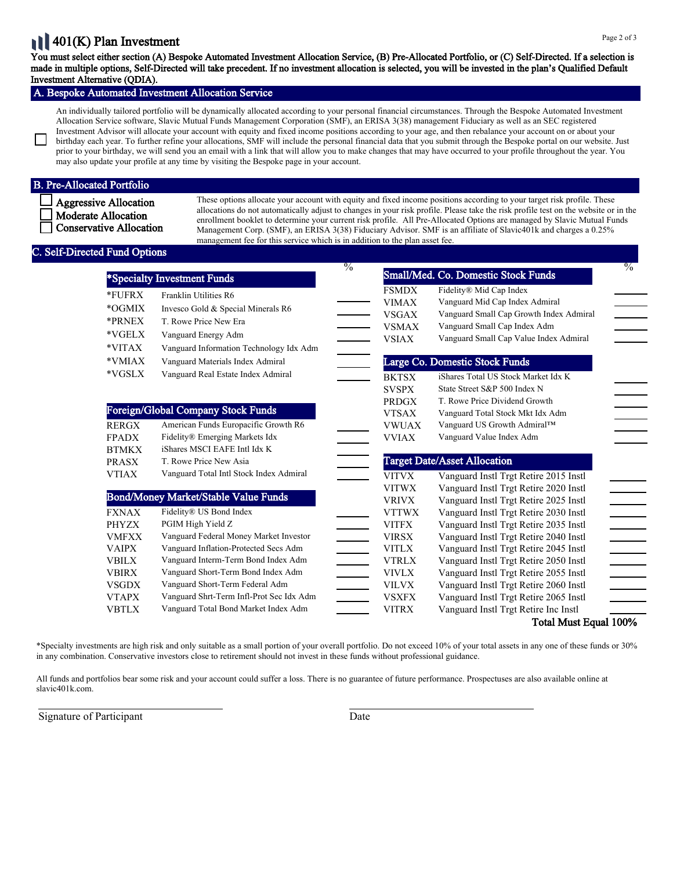#### Page 2 of 3

# 11401(K) Plan Investment

You must select either section (A) Bespoke Automated Investment Allocation Service, (B) Pre-Allocated Portfolio, or (C) Self-Directed. If a selection is made in multiple options, Self-Directed will take precedent. If no investment allocation is selected, you will be invested in the plan's Qualified Default Investment Alternative (QDIA).

### A. Bespoke Automated Investment Allocation Service

An individually tailored portfolio will be dynamically allocated according to your personal financial circumstances. Through the Bespoke Automated Investment Allocation Service software, Slavic Mutual Funds Management Corporation (SMF), an ERISA 3(38) management Fiduciary as well as an SEC registered Investment Advisor will allocate your account with equity and fixed income positions according to your age, and then rebalance your account on or about your birthday each year. To further refine your allocations, SMF will include the personal financial data that you submit through the Bespoke portal on our website. Just prior to your birthday, we will send you an email with a link that will allow you to make changes that may have occurred to your profile throughout the year. You may also update your profile at any time by visiting the Bespoke page in your account.

### B. Pre-Allocated Portfolio

Aggressive Allocation Moderate Allocation Conservative Allocation These options allocate your account with equity and fixed income positions according to your target risk profile. These allocations do not automatically adjust to changes in your risk profile. Please take the risk profile test on the website or in the enrollment booklet to determine your current risk profile. All Pre-Allocated Options are managed by Slavic Mutual Funds Management Corp. (SMF), an ERISA 3(38) Fiduciary Advisor. SMF is an affiliate of Slavic401k and charges a 0.25% management fee for this service which is in addition to the plan asset fee.

### Self-Directed Fund Options

|              |                                             | $\frac{0}{0}$            |              |                                         | $\frac{0}{6}$ |
|--------------|---------------------------------------------|--------------------------|--------------|-----------------------------------------|---------------|
|              | *Specialty Investment Funds                 |                          |              | Small/Med. Co. Domestic Stock Funds     |               |
| *FUFRX       | Franklin Utilities R6                       |                          | <b>FSMDX</b> | Fidelity® Mid Cap Index                 |               |
| *OGMIX       | Invesco Gold & Special Minerals R6          |                          | <b>VIMAX</b> | Vanguard Mid Cap Index Admiral          |               |
|              |                                             |                          | <b>VSGAX</b> | Vanguard Small Cap Growth Index Admiral |               |
| *PRNEX       | T. Rowe Price New Era                       |                          | <b>VSMAX</b> | Vanguard Small Cap Index Adm            |               |
| $*VGELX$     | Vanguard Energy Adm                         |                          | <b>VSIAX</b> | Vanguard Small Cap Value Index Admiral  |               |
| *VITAX       | Vanguard Information Technology Idx Adm     |                          |              |                                         |               |
| *VMIAX       | Vanguard Materials Index Admiral            |                          |              | Large Co. Domestic Stock Funds          |               |
| *VGSLX       | Vanguard Real Estate Index Admiral          |                          | <b>BKTSX</b> | iShares Total US Stock Market Idx K     |               |
|              |                                             |                          | <b>SVSPX</b> | State Street S&P 500 Index N            |               |
|              |                                             |                          | <b>PRDGX</b> | T. Rowe Price Dividend Growth           |               |
|              | Foreign/Global Company Stock Funds          |                          | <b>VTSAX</b> | Vanguard Total Stock Mkt Idx Adm        |               |
| <b>RERGX</b> | American Funds Europacific Growth R6        |                          | <b>VWUAX</b> | Vanguard US Growth Admiral™             |               |
| <b>FPADX</b> | Fidelity® Emerging Markets Idx              |                          | <b>VVIAX</b> | Vanguard Value Index Adm                |               |
| <b>BTMKX</b> | iShares MSCI EAFE Intl Idx K                |                          |              |                                         |               |
| <b>PRASX</b> | T. Rowe Price New Asia                      | $\equiv$                 |              | <b>Target Date/Asset Allocation</b>     |               |
| <b>VTIAX</b> | Vanguard Total Intl Stock Index Admiral     |                          | <b>VITVX</b> | Vanguard Instl Trgt Retire 2015 Instl   |               |
|              |                                             |                          | <b>VITWX</b> | Vanguard Instl Trgt Retire 2020 Instl   |               |
|              | <b>Bond/Money Market/Stable Value Funds</b> |                          | <b>VRIVX</b> | Vanguard Instl Trgt Retire 2025 Instl   |               |
| <b>FXNAX</b> | Fidelity® US Bond Index                     |                          | <b>VTTWX</b> | Vanguard Instl Trgt Retire 2030 Instl   |               |
| <b>PHYZX</b> | PGIM High Yield Z                           |                          | <b>VITFX</b> | Vanguard Instl Trgt Retire 2035 Instl   |               |
| <b>VMFXX</b> | Vanguard Federal Money Market Investor      | $\overline{\phantom{a}}$ | <b>VIRSX</b> | Vanguard Instl Trgt Retire 2040 Instl   |               |
| <b>VAIPX</b> | Vanguard Inflation-Protected Secs Adm       | $\mathbb{R}^n$           | <b>VITLX</b> | Vanguard Instl Trgt Retire 2045 Instl   |               |
| <b>VBILX</b> | Vanguard Interm-Term Bond Index Adm         | $\overline{\phantom{a}}$ | <b>VTRLX</b> | Vanguard Instl Trgt Retire 2050 Instl   |               |
| <b>VBIRX</b> | Vanguard Short-Term Bond Index Adm          | $\overline{\phantom{a}}$ | <b>VIVLX</b> | Vanguard Instl Trgt Retire 2055 Instl   |               |
| <b>VSGDX</b> | Vanguard Short-Term Federal Adm             |                          | <b>VILVX</b> | Vanguard Instl Trgt Retire 2060 Instl   |               |
| <b>VTAPX</b> | Vanguard Shrt-Term Infl-Prot Sec Idx Adm    |                          | <b>VSXFX</b> | Vanguard Instl Trgt Retire 2065 Instl   |               |
| <b>VBTLX</b> | Vanguard Total Bond Market Index Adm        |                          | <b>VITRX</b> | Vanguard Instl Trgt Retire Inc Instl    |               |
|              |                                             |                          |              | Total Must Equal 100%                   |               |

\*Specialty investments are high risk and only suitable as a small portion of your overall portfolio. Do not exceed 10% of your total assets in any one of these funds or 30% in any combination. Conservative investors close to retirement should not invest in these funds without professional guidance.

All funds and portfolios bear some risk and your account could suffer a loss. There is no guarantee of future performance. Prospectuses are also available online at slavic401k.com.

Signature of Participant Date